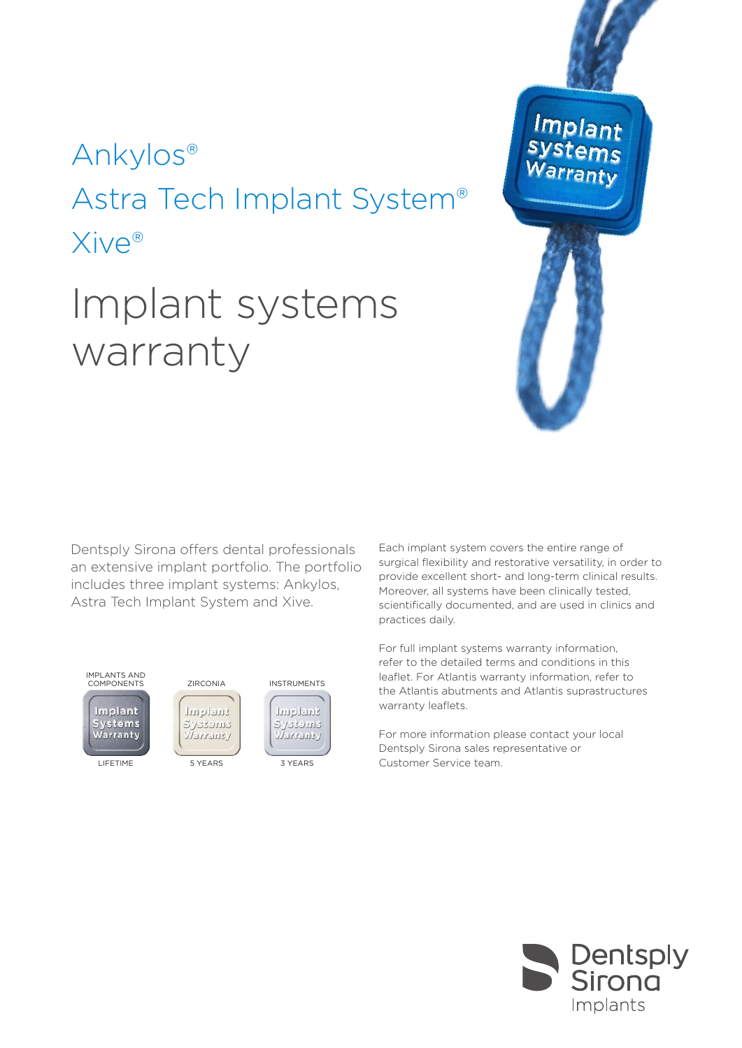## Ankylos® Astra Tech Implant System® Xive®

# Implant systems warranty

Dentsply Sirona offers dental professionals an extensive implant portfolio. The portfolio includes three implant systems: Ankylos, Astra Tech Implant System and Xive.



Each implant system covers the entire range of surgical flexibility and restorative versatility, in order to provide excellent short- and long-term clinical results. Moreover, all systems have been clinically tested, scientifically documented, and are used in clinics and practices daily.

**Implant** 

For full implant systems warranty information, refer to the detailed terms and conditions in this leaflet. For Atlantis warranty information, refer to the Atlantis abutments and Atlantis suprastructures warranty leaflets.

For more information please contact your local Dentsply Sirona sales representative or 3 YEARS Customer Service team.